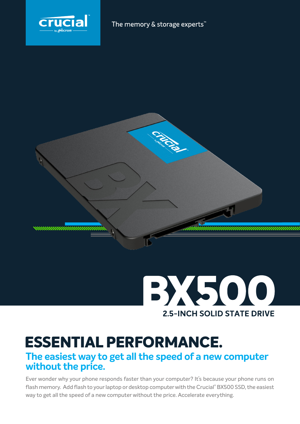



# BX500 **2.5-INCH SOLID STATE DRIVE**

## **ESSENTIAL PERFORMANCE.**

## **The easiest way to get all the speed of a new computer without the price.**

Ever wonder why your phone responds faster than your computer? It's because your phone runs on flash memory. Add flash to your laptop or desktop computer with the Crucial® BX500 SSD, the easiest way to get all the speed of a new computer without the price. Accelerate everything.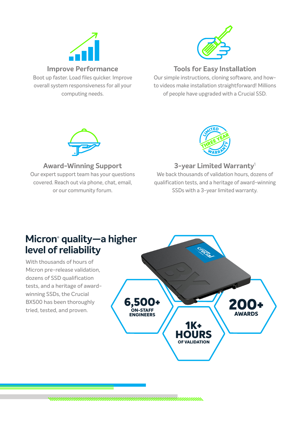

Boot up faster. Load files quicker. Improve overall system responsiveness for all your computing needs.



## **Tools for Easy Installation**

Our simple instructions, cloning software, and howto videos make installation straightforward! Millions of people have upgraded with a Crucial SSD.



## **Award-Winning Support**

Our expert support team has your questions covered. Reach out via phone, chat, email, or our community forum.



## **3-year Limited Warranty**<sup>1</sup>

We back thousands of validation hours, dozens of qualification tests, and a heritage of award-winning SSDs with a 3-year limited warranty.